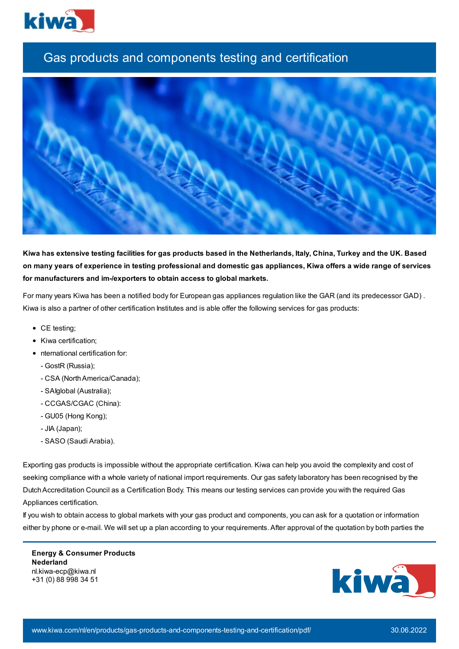

## Gas products and components testing and certification



Kiwa has extensive testing facilities for gas products based in the Netherlands, Italy, China, Turkey and the UK. Based on many years of experience in testing professional and domestic gas appliances, Kiwa offers a wide range of services **for manufacturers and im-/exporters to obtain access to global markets.**

For many years Kiwa has been a notified body for European gas appliances regulation like the GAR (and its predecessor GAD) . Kiwa is also a partner of other certification Institutes and is able offer the following services for gas products:

- CE testing;
- Kiwa certification;
- nternational certification for:
	- GostR (Russia);
	- CSA (North America/Canada);
	- SAIglobal (Australia);
	- CCGAS/CGAC (China):
	- GU05 (Hong Kong);
	- JIA (Japan);
	- SASO (Saudi Arabia).

Exporting gas products is impossible without the appropriate certification. Kiwa can help you avoid the complexity and cost of seeking compliance with a whole variety of national import requirements. Our gas safety laboratory has been recognised by the DutchAccreditation Council as a Certification Body. This means our testing services can provide you with the required Gas Appliances certification.

If you wish to obtain access to global markets with your gas product and components, you can ask for a quotation or information either by phone or e-mail. We will set up a plan according to your requirements. After approval of the quotation by both parties the

**Energy & Consumer Products Nederland** nl.kiwa-ecp@kiwa.nl +31 (0) 88 998 34 51